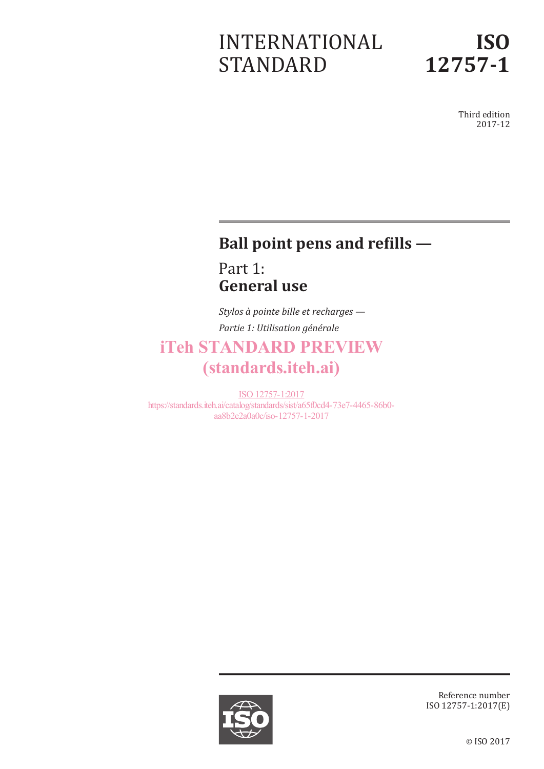# INTERNATIONAL STANDARD



Third edition 2017-12

### **Ball point pens and refills —**

Part 1: **General use**

*Stylos à pointe bille et recharges —*

*Partie 1: Utilisation générale*

### iTeh STANDARD PREVIEW (standards.iteh.ai)

ISO 12757-1:2017 https://standards.iteh.ai/catalog/standards/sist/a65f0cd4-73e7-4465-86b0 aa8b2e2a0a0c/iso-12757-1-2017



Reference number ISO 12757-1:2017(E)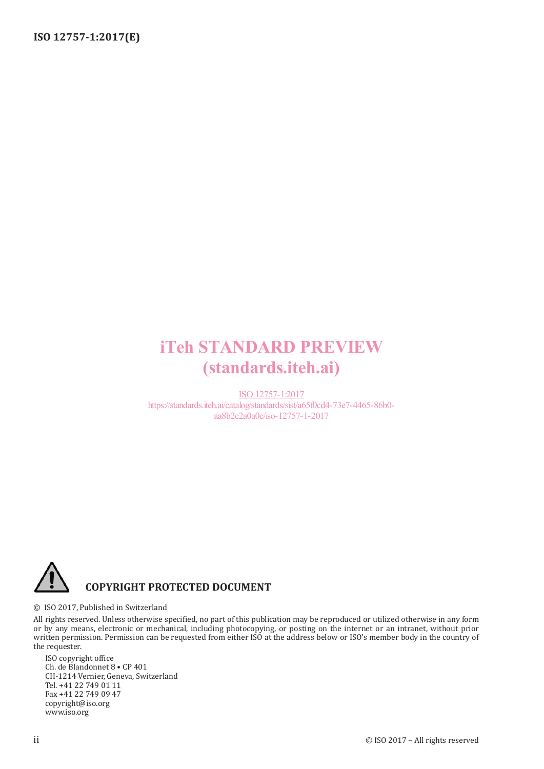## iTeh STANDARD PREVIEW (standards.iteh.ai)

ISO 12757-1:2017 https://standards.iteh.ai/catalog/standards/sist/a65f0cd4-73e7-4465-86b0 aa8b2e2a0a0c/iso-12757-1-2017



#### © ISO 2017, Published in Switzerland

All rights reserved. Unless otherwise specified, no part of this publication may be reproduced or utilized otherwise in any form or by any means, electronic or mechanical, including photocopying, or posting on the internet or an intranet, without prior written permission. Permission can be requested from either ISO at the address below or ISO's member body in the country of the requester.

ISO copyright office Ch. de Blandonnet 8 • CP 401 CH-1214 Vernier, Geneva, Switzerland Tel. +41 22 749 01 11 Fax +41 22 749 09 47 copyright@iso.org www.iso.org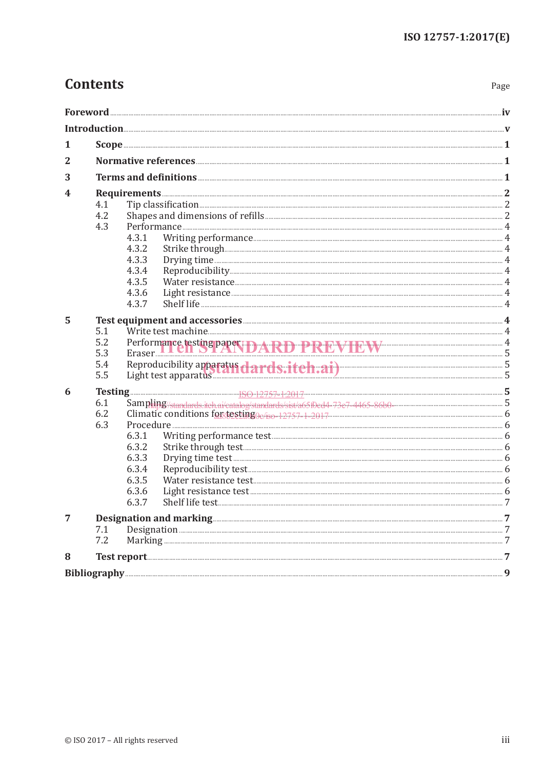|   | <b>Contents</b>                 |                                                                                                                    | Page |  |  |  |  |
|---|---------------------------------|--------------------------------------------------------------------------------------------------------------------|------|--|--|--|--|
|   |                                 |                                                                                                                    |      |  |  |  |  |
|   |                                 |                                                                                                                    |      |  |  |  |  |
| 1 |                                 |                                                                                                                    |      |  |  |  |  |
| 2 |                                 |                                                                                                                    |      |  |  |  |  |
| 3 |                                 |                                                                                                                    |      |  |  |  |  |
| 4 | Requirements <b>2</b>           |                                                                                                                    |      |  |  |  |  |
|   | 4.1<br>4.2<br>4.3               | 4.3.1<br>4.3.2<br>4.3.3<br>4.3.4<br>4.3.5<br>4.3.6<br>4.3.7                                                        |      |  |  |  |  |
| 5 | 5.1<br>5.2<br>5.3<br>5.4<br>5.5 | Performance testing papers DARD PREVIEW 14 5<br>Reproducibility apparatus dards.itch.ai)<br>Light test apparatus 5 |      |  |  |  |  |
| 6 | 6.1<br>6.2                      | Climatic conditions $f_{QR}$ testing $_{QQ}$ /s $_{QQ}$ /s $_{QQ}$ /s $_{QQ}$ + 2.7.5.7.4.4.2.0.41.7.              |      |  |  |  |  |
|   | 6.3                             | 6.3.1<br>6.3.2<br>6.3.3                                                                                            |      |  |  |  |  |
|   |                                 | 6.3.4<br>6.3.5<br>6.3.6<br>6.3.7                                                                                   |      |  |  |  |  |
| 7 | 7.1<br>7.2                      |                                                                                                                    |      |  |  |  |  |
| 8 |                                 |                                                                                                                    |      |  |  |  |  |
|   |                                 |                                                                                                                    |      |  |  |  |  |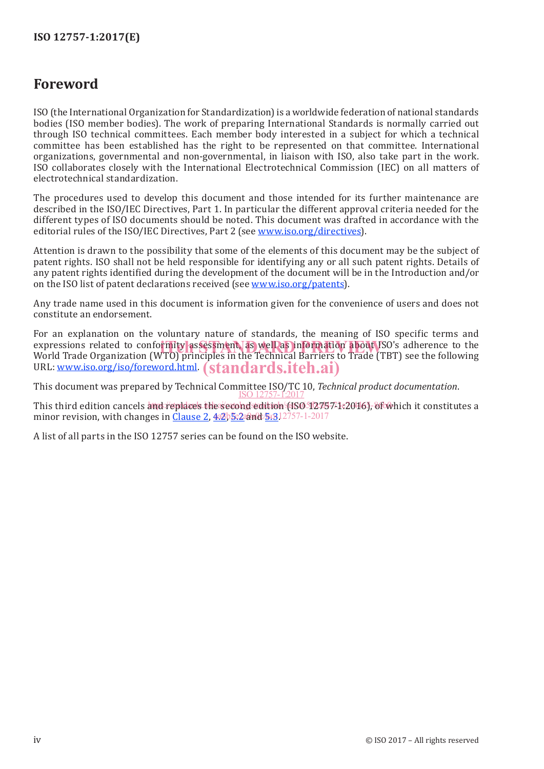### **Foreword**

ISO (the International Organization for Standardization) is a worldwide federation of national standards bodies (ISO member bodies). The work of preparing International Standards is normally carried out through ISO technical committees. Each member body interested in a subject for which a technical committee has been established has the right to be represented on that committee. International organizations, governmental and non-governmental, in liaison with ISO, also take part in the work. ISO collaborates closely with the International Electrotechnical Commission (IEC) on all matters of electrotechnical standardization.

The procedures used to develop this document and those intended for its further maintenance are described in the ISO/IEC Directives, Part 1. In particular the different approval criteria needed for the different types of ISO documents should be noted. This document was drafted in accordance with the editorial rules of the ISO/IEC Directives, Part 2 (see www.iso.org/directives).

Attention is drawn to the possibility that some of the elements of this document may be the subject of patent rights. ISO shall not be held responsible for identifying any or all such patent rights. Details of any patent rights identified during the development of the document will be in the Introduction and/or on the ISO list of patent declarations received (see www.iso.org/patents).

Any trade name used in this document is information given for the convenience of users and does not constitute an endorsement.

For an explanation on the voluntary nature of standards, the meaning of ISO specific terms and expressions related to conformity assessment, as well as information about ISO's adherence to the<br>World Trade Organization (WTO) principles in the Technical Barriers to Trade (TBT) see the following World Trade Organization (WTO) principles in the Technical Barriers to Trade (TBT) see the following URL: <u>www.iso.org/iso/foreword.html</u>. (standards.iteh.ai)

This document was prepared by Technical Committee ISO/TC 10, *Technical product documentation*. ISO 12757-1:2017

This third edition cancels and replaces the second edition (180512757-1:2016), 8fWhich it constitutes a minor revision, with changes in <u>Clause 2, 420b5:2</u>2and/<u>5:3</u>12757-1-2017

A list of all parts in the ISO 12757 series can be found on the ISO website.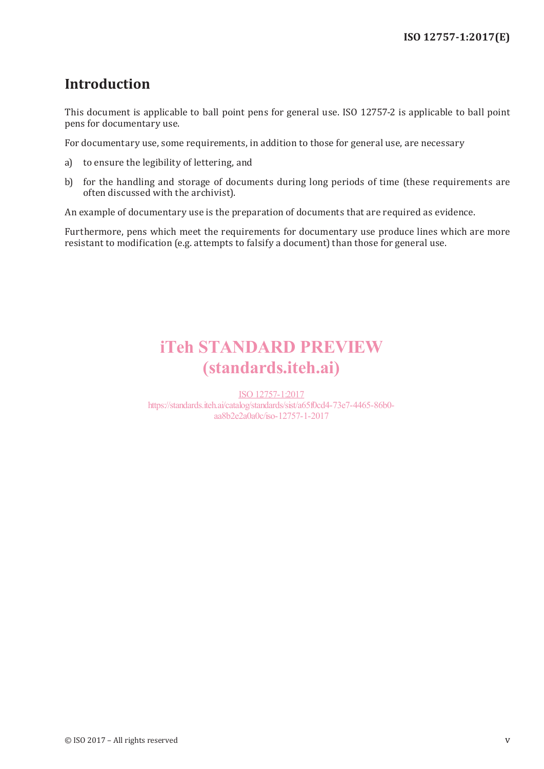### **Introduction**

This document is applicable to ball point pens for general use. ISO 12757-2 is applicable to ball point pens for documentary use.

For documentary use, some requirements, in addition to those for general use, are necessary

- a) to ensure the legibility of lettering, and
- b) for the handling and storage of documents during long periods of time (these requirements are often discussed with the archivist).

An example of documentary use is the preparation of documents that are required as evidence.

Furthermore, pens which meet the requirements for documentary use produce lines which are more resistant to modification (e.g. attempts to falsify a document) than those for general use.

# iTeh STANDARD PREVIEW (standards.iteh.ai)

ISO 12757-1:2017 https://standards.iteh.ai/catalog/standards/sist/a65f0cd4-73e7-4465-86b0 aa8b2e2a0a0c/iso-12757-1-2017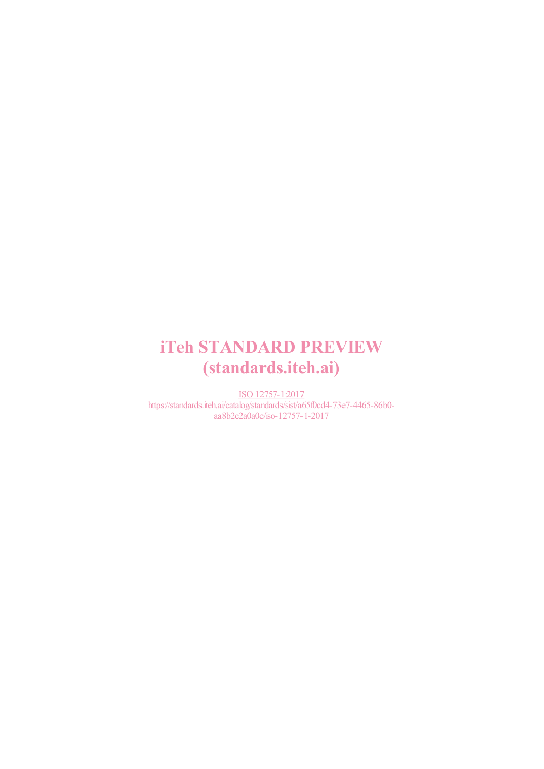# iTeh STANDARD PREVIEW (standards.iteh.ai)

ISO 12757-1:2017 https://standards.iteh.ai/catalog/standards/sist/a65f0cd4-73e7-4465-86b0 aa8b2e2a0a0c/iso-12757-1-2017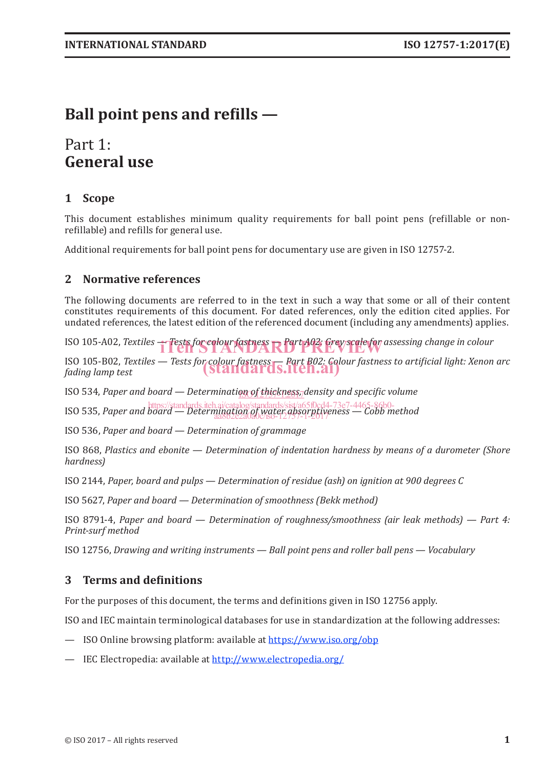### **Ball point pens and refills —**

### Part 1: **General use**

### **1 Scope**

This document establishes minimum quality requirements for ball point pens (refillable or nonrefillable) and refills for general use.

Additional requirements for ball point pens for documentary use are given in ISO 12757-2.

### **2 Normative references**

The following documents are referred to in the text in such a way that some or all of their content constitutes requirements of this document. For dated references, only the edition cited applies. For undated references, the latest edition of the referenced document (including any amendments) applies.

ISO 105-A02, *Textiles* — Tests for colour fastness **R** Part A02; Grey scale for assessing change in colour

ISO 105-B02, *Textiles — Tests for colour fastness — Part B02: Colour fastness to artificial light: Xenon arc* (standards.iteh.ai) *fading lamp test*

ISO 534, *Paper and board — Determination of thickness, density and specific volume* ISO 12757-1:2017

ISO 535, *Paper and board — Determination of water absorptiveness — Cobb method* https://standards.iteh.ai/catalog/standards/sist/a65f0cd4-73e7-4465-86b0-

aa8b2e2a0a0c/iso-12757-1-2017

ISO 536, *Paper and board — Determination of grammage*

ISO 868, *Plastics and ebonite — Determination of indentation hardness by means of a durometer (Shore hardness)*

ISO 2144, *Paper, board and pulps — Determination of residue (ash) on ignition at 900 degrees C*

ISO 5627, *Paper and board — Determination of smoothness (Bekk method)*

ISO 8791-4, *Paper and board — Determination of roughness/smoothness (air leak methods) — Part 4: Print-surf method*

ISO 12756, *Drawing and writing instruments — Ball point pens and roller ball pens — Vocabulary*

### **3 Terms and definitions**

For the purposes of this document, the terms and definitions given in ISO 12756 apply.

ISO and IEC maintain terminological databases for use in standardization at the following addresses:

- ISO Online browsing platform: available at https://www.iso.org/obp
- IEC Electropedia: available at http://www.electropedia.org/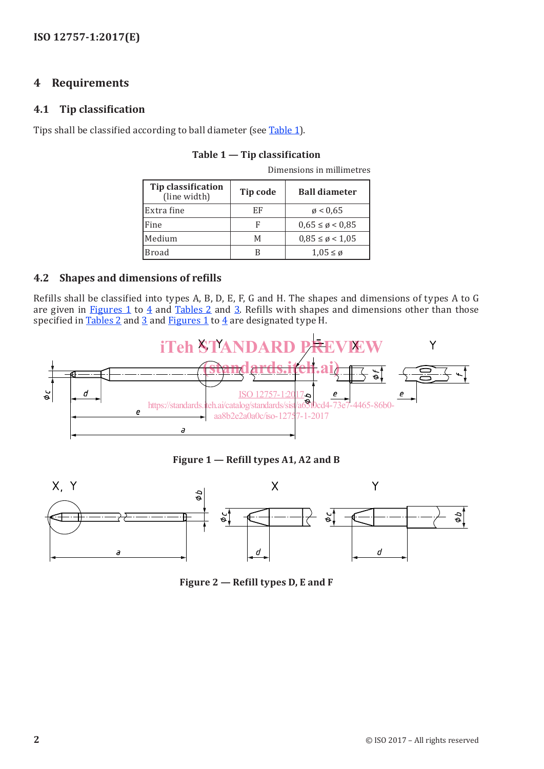### **4 Requirements**

#### **4.1 Tip classification**

Tips shall be classified according to ball diameter (see Table 1).

#### **Table 1 — Tip classification**

Dimensions in millimetres

| <b>Tip classification</b><br>(line width) | Tip code | <b>Ball diameter</b>          |  |  |
|-------------------------------------------|----------|-------------------------------|--|--|
| Extra fine                                | EF       | $\varnothing$ < 0,65          |  |  |
| Fine                                      | F        | $0.65 \le \emptyset \le 0.85$ |  |  |
| Medium                                    | M        | $0.85 \le \emptyset \le 1.05$ |  |  |
| <b>Broad</b>                              | R        | $1.05 \leq \emptyset$         |  |  |

#### **4.2 Shapes and dimensions of refills**

Refills shall be classified into types A, B, D, E, F, G and H. The shapes and dimensions of types A to G are given in Figures 1 to  $4$  and Tables 2 and 3. Refills with shapes and dimensions other than those specified in Tables 2 and 3 and Figures 1 to 4 are designated type H.



**Figure 1 — Refill types A1, A2 and B**



**Figure 2 — Refill types D, E and F**